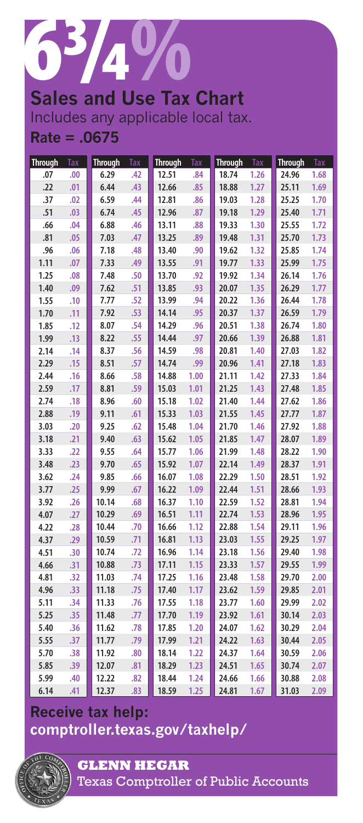

**Sales and Use Tax Chart** Includes any applicable local tax. **Rate = .0675**

| <b>Through</b> | <b>Tax</b> | <b>Through</b> | <b>Tax</b> | <b>Through</b> | <b>Tax</b> | <b>Through</b> | Tax  | <b>Through</b> | <b>Tax</b> |
|----------------|------------|----------------|------------|----------------|------------|----------------|------|----------------|------------|
| .07            | .00        | 6.29           | .42        | 12.51          | .84        | 18.74          | 1.26 | 24.96          | 1.68       |
| .22            | .01        | 6.44           | .43        | 12.66          | .85        | 18.88          | 1.27 | 25.11          | 1.69       |
| .37            | .02        | 6.59           | .44        | 12.81          | .86        | 19.03          | 1.28 | 25.25          | 1.70       |
| .51            | .03        | 6.74           | .45        | 12.96          | .87        | 19.18          | 1.29 | 25.40          | 1.71       |
| .66            | .04        | 6.88           | .46        | 13.11          | .88        | 19.33          | 1.30 | 25.55          | 1.72       |
| .81            | .05        | 7.03           | .47        | 13.25          | .89        | 19.48          | 1.31 | 25.70          | 1.73       |
| .96            | .06        | 7.18           | .48        | 13.40          | .90        | 19.62          | 1.32 | 25.85          | 1.74       |
| 1.11           | .07        | 7.33           | .49        | 13.55          | .91        | 19.77          | 1.33 | 25.99          | 1.75       |
| 1.25           | .08        | 7.48           | .50        | 13.70          | .92        | 19.92          | 1.34 | 26.14          | 1.76       |
| 1.40           | .09        | 7.62           | .51        | 13.85          | .93        | 20.07          | 1.35 | 26.29          | 1.77       |
| 1.55           | .10        | 7.77           | .52        | 13.99          | .94        | 20.22          | 1.36 | 26.44          | 1.78       |
| 1.70           | .11        | 7.92           | .53        | 14.14          | .95        | 20.37          | 1.37 | 26.59          | 1.79       |
| 1.85           | .12        | 8.07           | .54        | 14.29          | .96        | 20.51          | 1.38 | 26.74          | 1.80       |
| 1.99           | .13        | 8.22           | .55        | 14.44          | .97        | 20.66          | 1.39 | 26.88          | 1.81       |
| 2.14           | .14        | 8.37           | .56        | 14.59          | .98        | 20.81          | 1.40 | 27.03          | 1.82       |
| 2.29           | .15        | 8.51           | .57        | 14.74          | .99        | 20.96          | 1.41 | 27.18          | 1.83       |
| 2.44           | .16        | 8.66           | .58        | 14.88          | 1.00       | 21.11          | 1.42 | 27.33          | 1.84       |
| 2.59           | .17        | 8.81           | .59        | 15.03          | 1.01       | 21.25          | 1.43 | 27.48          | 1.85       |
| 2.74           | .18        | 8.96           | .60        | 15.18          | 1.02       | 21.40          | 1.44 | 27.62          | 1.86       |
| 2.88           | .19        | 9.11           | .61        | 15.33          | 1.03       | 21.55          | 1.45 | 27.77          | 1.87       |
| 3.03           | .20        | 9.25           | .62        | 15.48          | 1.04       | 21.70          | 1.46 | 27.92          | 1.88       |
| 3.18           | .21        | 9.40           | .63        | 15.62          | 1.05       | 21.85          | 1.47 | 28.07          | 1.89       |
| 3.33           | .22        | 9.55           | .64        | 15.77          | 1.06       | 21.99          | 1.48 | 28.22          | 1.90       |
| 3.48           | .23        | 9.70           | .65        | 15.92          | 1.07       | 22.14          | 1.49 | 28.37          | 1.91       |
| 3.62           | .24        | 9.85           | .66        | 16.07          | 1.08       | 22.29          | 1.50 | 28.51          | 1.92       |
| 3.77           | .25        | 9.99           | .67        | 16.22          | 1.09       | 22.44          | 1.51 | 28.66          | 1.93       |
| 3.92           | .26        | 10.14          | .68        | 16.37          | 1.10       | 22.59          | 1.52 | 28.81          | 1.94       |
| 4.07           | .27        | 10.29          | .69        | 16.51          | 1.11       | 22.74          | 1.53 | 28.96          | 1.95       |
| 4.22           | .28        | 10.44          | .70        | 16.66          | 1.12       | 22.88          | 1.54 | 29.11          | 1.96       |
| 4.37           | .29        | 10.59          | .71        | 16.81          | 1.13       | 23.03          | 1.55 | 29.25          | 1.97       |
| 4.51           | .30        | 10.74          | .72        | 16.96          | 1.14       | 23.18          | 1.56 | 29.40          | 1.98       |
| 4.66           | .31        | 10.88          | .73        | 17.11          | 1.15       | 23.33          | 1.57 | 29.55          | 1.99       |
| 4.81           | .32        | 11.03          | .74        | 17.25          | 1.16       | 23.48          | 1.58 | 29.70          | 2.00       |
| 4.96           | .33        | 11.18          | .75        | 17.40          | 1.17       | 23.62          | 1.59 | 29.85          | 2.01       |
| 5.11           | .34        | 11.33          | .76        | 17.55          | 1.18       | 23.77          | 1.60 | 29.99          | 2.02       |
| 5.25           | .35        | 11.48          | .77        | 17.70          | 1.19       | 23.92          | 1.61 | 30.14          | 2.03       |
| 5.40           | .36        | 11.62          | .78        | 17.85          | 1.20       | 24.07          | 1.62 | 30.29          | 2.04       |
| 5.55           | .37        | 11.77          | .79        | 17.99          | 1.21       | 24.22          | 1.63 | 30.44          | 2.05       |
| 5.70           | .38        | 11.92          | .80        | 18.14          | 1.22       | 24.37          | 1.64 | 30.59          | 2.06       |
| 5.85           | .39        | 12.07          | .81        | 18.29          | 1.23       | 24.51          | 1.65 | 30.74          | 2.07       |
| 5.99           | .40        | 12.22          | .82        | 18.44          | 1.24       | 24.66          | 1.66 | 30.88          | 2.08       |
| 6.14           | .41        | 12.37          | .83        | 18.59          | 1.25       | 24.81          | 1.67 | 31.03          | 2.09       |

## **Receive tax help: <comptroller.texas.gov/taxhelp/>**



**GLENN HEGAR**  Texas Comptroller of Public Accounts